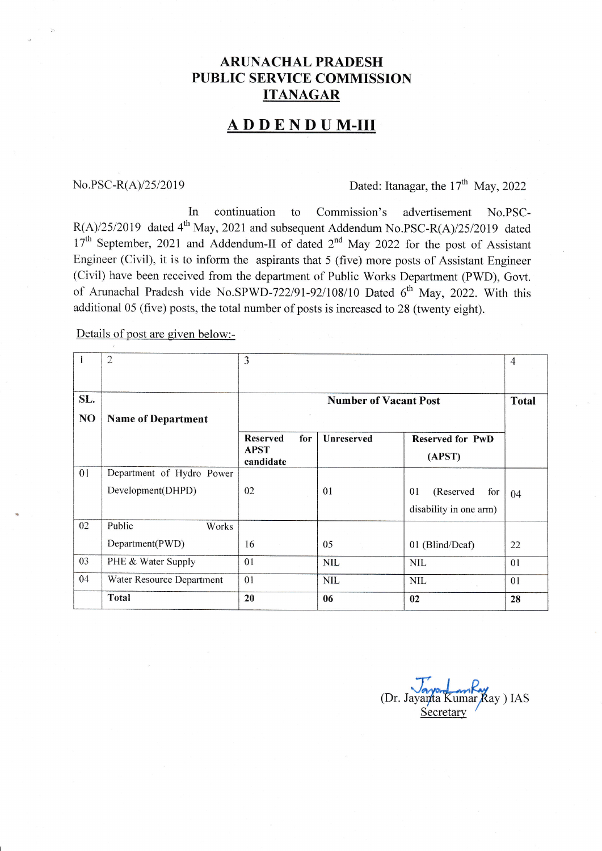## **ARUNACHAL PRADESH** PUBLIC SERVICE COMMISSION **ITANAGAR**

## **ADDENDUM-III**

## No.PSC-R(A) $/25/2019$  Dated: Itanagar, the 17<sup>th</sup> May, 2022

In continuation to Commission's advertisement No.PSC- $R(A)/25/2019$  dated 4<sup>th</sup> May, 2021 and subsequent Addendum No.PSC-R(A)/25/2019 dated 17<sup>th</sup> September, 2021 and Addendum-II of dated 2<sup>nd</sup> May 2022 for the post of Assistant Engineer (Civil), it is to inform the aspirants that 5 (five) more posts of Assistant Engineer (Civil) have been received from the department of Public Works Department (PWD), Govt. of Arunachal Pradesh vide No.SPWD-722/91-92/108/10 Dated  $6<sup>th</sup>$  May, 2022. With this additional 05 (five) posts, the total number of posts is increased to 28 (twenty eight).

Details of post are given below:-

| 1<br>SL.       | $\overline{2}$                                 | 3                                                  |                   |                                                  | $\overline{4}$ |
|----------------|------------------------------------------------|----------------------------------------------------|-------------------|--------------------------------------------------|----------------|
| N <sub>O</sub> | <b>Name of Department</b>                      | <b>Number of Vacant Post</b>                       |                   |                                                  | <b>Total</b>   |
|                |                                                | <b>Reserved</b><br>for<br><b>APST</b><br>candidate | <b>Unreserved</b> | <b>Reserved for PwD</b><br>(APST)                |                |
| 01             | Department of Hydro Power<br>Development(DHPD) | 02                                                 | 01                | 01<br>(Reserved<br>for<br>disability in one arm) | 04             |
| 02             | Public<br>Works<br>Department(PWD)             | 16                                                 | 05                | 01 (Blind/Deaf)                                  | 22             |
| 03             | PHE & Water Supply                             | 01                                                 | <b>NIL</b>        | <b>NIL</b>                                       | 01             |
| 04             | Water Resource Department                      | 01                                                 | <b>NIL</b>        | <b>NIL</b>                                       | 01             |
|                | Total                                          | 20                                                 | 06                | 02                                               | 28             |

(Dr. Jayanta Kumar Ray ) IAS<br>Secretary